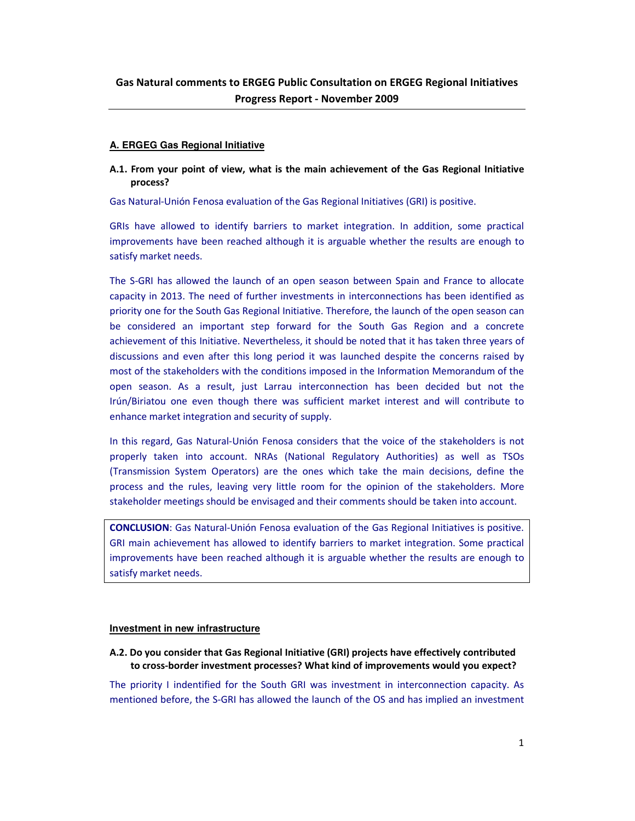### **A. ERGEG Gas Regional Initiative**

**A.1. From your point of view, what is the main achievement of the Gas Regional Initiative process?** 

Gas Natural-Unión Fenosa evaluation of the Gas Regional Initiatives (GRI) is positive.

GRIs have allowed to identify barriers to market integration. In addition, some practical improvements have been reached although it is arguable whether the results are enough to satisfy market needs.

The S-GRI has allowed the launch of an open season between Spain and France to allocate capacity in 2013. The need of further investments in interconnections has been identified as priority one for the South Gas Regional Initiative. Therefore, the launch of the open season can be considered an important step forward for the South Gas Region and a concrete achievement of this Initiative. Nevertheless, it should be noted that it has taken three years of discussions and even after this long period it was launched despite the concerns raised by most of the stakeholders with the conditions imposed in the Information Memorandum of the open season. As a result, just Larrau interconnection has been decided but not the Irún/Biriatou one even though there was sufficient market interest and will contribute to enhance market integration and security of supply.

In this regard, Gas Natural-Unión Fenosa considers that the voice of the stakeholders is not properly taken into account. NRAs (National Regulatory Authorities) as well as TSOs (Transmission System Operators) are the ones which take the main decisions, define the process and the rules, leaving very little room for the opinion of the stakeholders. More stakeholder meetings should be envisaged and their comments should be taken into account.

**CONCLUSION**: Gas Natural-Unión Fenosa evaluation of the Gas Regional Initiatives is positive. GRI main achievement has allowed to identify barriers to market integration. Some practical improvements have been reached although it is arguable whether the results are enough to satisfy market needs.

### **Investment in new infrastructure**

**A.2. Do you consider that Gas Regional Initiative (GRI) projects have effectively contributed to cross-border investment processes? What kind of improvements would you expect?** 

The priority I indentified for the South GRI was investment in interconnection capacity. As mentioned before, the S-GRI has allowed the launch of the OS and has implied an investment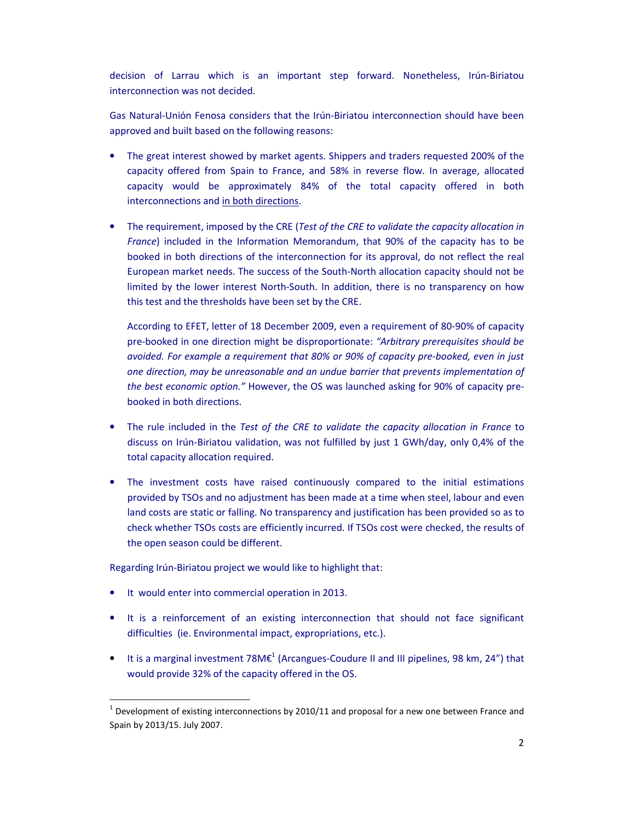decision of Larrau which is an important step forward. Nonetheless, Irún-Biriatou interconnection was not decided.

Gas Natural-Unión Fenosa considers that the Irún-Biriatou interconnection should have been approved and built based on the following reasons:

- The great interest showed by market agents. Shippers and traders requested 200% of the capacity offered from Spain to France, and 58% in reverse flow. In average, allocated capacity would be approximately 84% of the total capacity offered in both interconnections and in both directions.
- The requirement, imposed by the CRE (*Test of the CRE to validate the capacity allocation in France*) included in the Information Memorandum, that 90% of the capacity has to be booked in both directions of the interconnection for its approval, do not reflect the real European market needs. The success of the South-North allocation capacity should not be limited by the lower interest North-South. In addition, there is no transparency on how this test and the thresholds have been set by the CRE.

According to EFET, letter of 18 December 2009, even a requirement of 80-90% of capacity pre-booked in one direction might be disproportionate: *"Arbitrary prerequisites should be avoided. For example a requirement that 80% or 90% of capacity pre-booked, even in just one direction, may be unreasonable and an undue barrier that prevents implementation of the best economic option."* However, the OS was launched asking for 90% of capacity prebooked in both directions.

- The rule included in the *Test of the CRE to validate the capacity allocation in France* to discuss on Irún-Biriatou validation, was not fulfilled by just 1 GWh/day, only 0,4% of the total capacity allocation required.
- The investment costs have raised continuously compared to the initial estimations provided by TSOs and no adjustment has been made at a time when steel, labour and even land costs are static or falling. No transparency and justification has been provided so as to check whether TSOs costs are efficiently incurred. If TSOs cost were checked, the results of the open season could be different.

Regarding Irún-Biriatou project we would like to highlight that:

• It would enter into commercial operation in 2013.

l

- It is a reinforcement of an existing interconnection that should not face significant difficulties (ie. Environmental impact, expropriations, etc.).
- It is a marginal investment 78M $\varepsilon^1$  (Arcangues-Coudure II and III pipelines, 98 km, 24") that would provide 32% of the capacity offered in the OS.

 $^1$  Development of existing interconnections by 2010/11 and proposal for a new one between France and Spain by 2013/15. July 2007.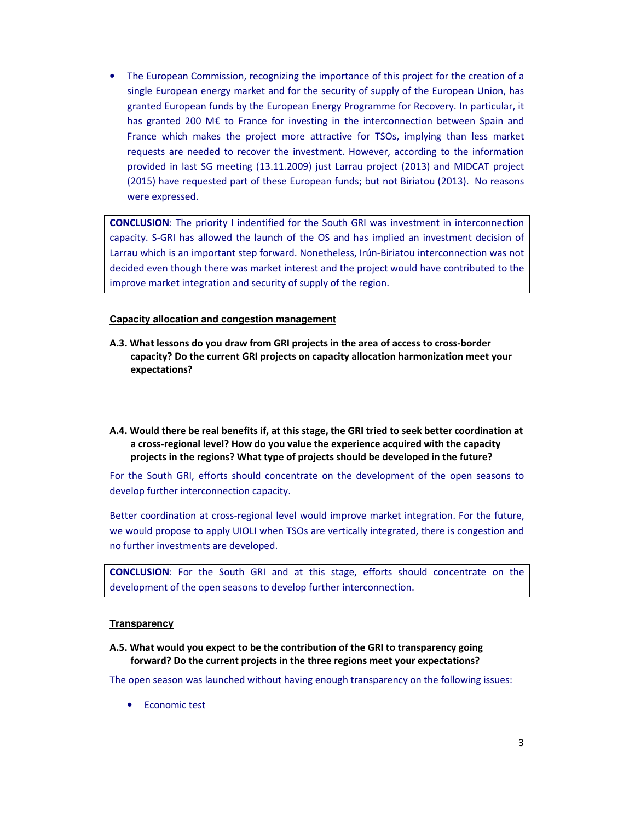• The European Commission, recognizing the importance of this project for the creation of a single European energy market and for the security of supply of the European Union, has granted European funds by the European Energy Programme for Recovery. In particular, it has granted 200 M€ to France for investing in the interconnection between Spain and France which makes the project more attractive for TSOs, implying than less market requests are needed to recover the investment. However, according to the information provided in last SG meeting (13.11.2009) just Larrau project (2013) and MIDCAT project (2015) have requested part of these European funds; but not Biriatou (2013). No reasons were expressed.

**CONCLUSION**: The priority I indentified for the South GRI was investment in interconnection capacity. S-GRI has allowed the launch of the OS and has implied an investment decision of Larrau which is an important step forward. Nonetheless, Irún-Biriatou interconnection was not decided even though there was market interest and the project would have contributed to the improve market integration and security of supply of the region.

### **Capacity allocation and congestion management**

- **A.3. What lessons do you draw from GRI projects in the area of access to cross-border capacity? Do the current GRI projects on capacity allocation harmonization meet your expectations?**
- **A.4. Would there be real benefits if, at this stage, the GRI tried to seek better coordination at a cross-regional level? How do you value the experience acquired with the capacity projects in the regions? What type of projects should be developed in the future?**

For the South GRI, efforts should concentrate on the development of the open seasons to develop further interconnection capacity.

Better coordination at cross-regional level would improve market integration. For the future, we would propose to apply UIOLI when TSOs are vertically integrated, there is congestion and no further investments are developed.

**CONCLUSION**: For the South GRI and at this stage, efforts should concentrate on the development of the open seasons to develop further interconnection.

### **Transparency**

**A.5. What would you expect to be the contribution of the GRI to transparency going forward? Do the current projects in the three regions meet your expectations?** 

The open season was launched without having enough transparency on the following issues:

• Economic test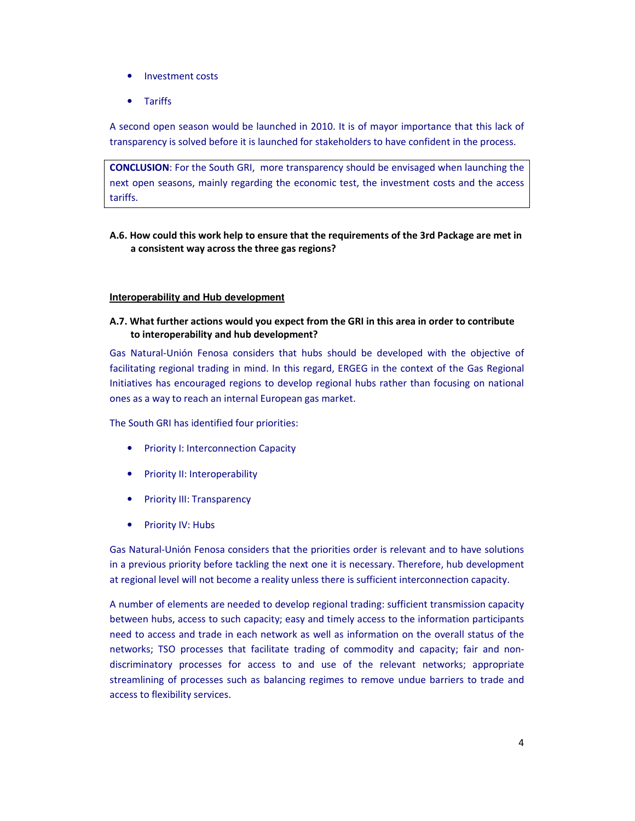- Investment costs
- Tariffs

A second open season would be launched in 2010. It is of mayor importance that this lack of transparency is solved before it is launched for stakeholders to have confident in the process.

**CONCLUSION**: For the South GRI, more transparency should be envisaged when launching the next open seasons, mainly regarding the economic test, the investment costs and the access tariffs.

# **A.6. How could this work help to ensure that the requirements of the 3rd Package are met in a consistent way across the three gas regions?**

# **Interoperability and Hub development**

**A.7. What further actions would you expect from the GRI in this area in order to contribute to interoperability and hub development?** 

Gas Natural-Unión Fenosa considers that hubs should be developed with the objective of facilitating regional trading in mind. In this regard, ERGEG in the context of the Gas Regional Initiatives has encouraged regions to develop regional hubs rather than focusing on national ones as a way to reach an internal European gas market.

The South GRI has identified four priorities:

- Priority I: Interconnection Capacity
- Priority II: Interoperability
- Priority III: Transparency
- Priority IV: Hubs

Gas Natural-Unión Fenosa considers that the priorities order is relevant and to have solutions in a previous priority before tackling the next one it is necessary. Therefore, hub development at regional level will not become a reality unless there is sufficient interconnection capacity.

A number of elements are needed to develop regional trading: sufficient transmission capacity between hubs, access to such capacity; easy and timely access to the information participants need to access and trade in each network as well as information on the overall status of the networks; TSO processes that facilitate trading of commodity and capacity; fair and nondiscriminatory processes for access to and use of the relevant networks; appropriate streamlining of processes such as balancing regimes to remove undue barriers to trade and access to flexibility services.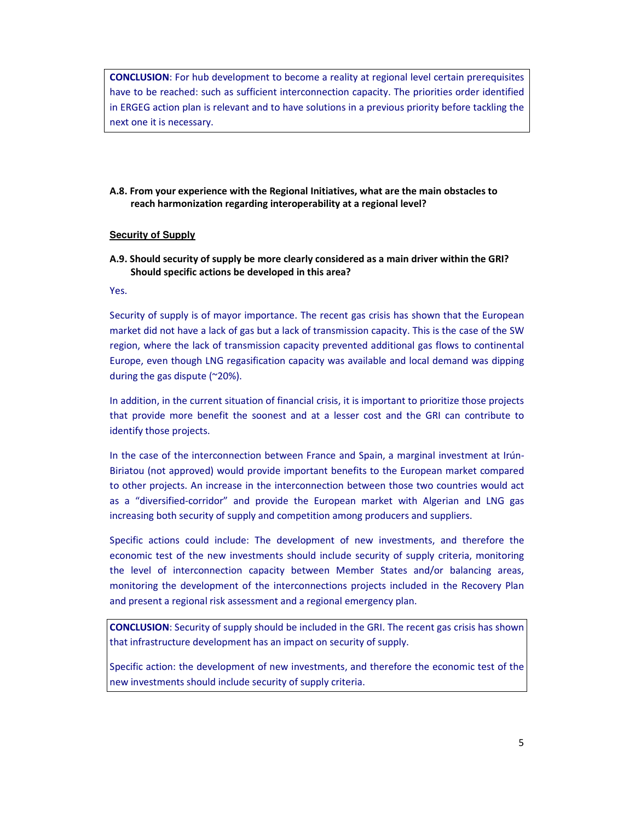**CONCLUSION**: For hub development to become a reality at regional level certain prerequisites have to be reached: such as sufficient interconnection capacity. The priorities order identified in ERGEG action plan is relevant and to have solutions in a previous priority before tackling the next one it is necessary.

**A.8. From your experience with the Regional Initiatives, what are the main obstacles to reach harmonization regarding interoperability at a regional level?** 

### **Security of Supply**

**A.9. Should security of supply be more clearly considered as a main driver within the GRI? Should specific actions be developed in this area?** 

Yes.

Security of supply is of mayor importance. The recent gas crisis has shown that the European market did not have a lack of gas but a lack of transmission capacity. This is the case of the SW region, where the lack of transmission capacity prevented additional gas flows to continental Europe, even though LNG regasification capacity was available and local demand was dipping during the gas dispute (~20%).

In addition, in the current situation of financial crisis, it is important to prioritize those projects that provide more benefit the soonest and at a lesser cost and the GRI can contribute to identify those projects.

In the case of the interconnection between France and Spain, a marginal investment at Irún-Biriatou (not approved) would provide important benefits to the European market compared to other projects. An increase in the interconnection between those two countries would act as a "diversified-corridor" and provide the European market with Algerian and LNG gas increasing both security of supply and competition among producers and suppliers.

Specific actions could include: The development of new investments, and therefore the economic test of the new investments should include security of supply criteria, monitoring the level of interconnection capacity between Member States and/or balancing areas, monitoring the development of the interconnections projects included in the Recovery Plan and present a regional risk assessment and a regional emergency plan.

**CONCLUSION**: Security of supply should be included in the GRI. The recent gas crisis has shown that infrastructure development has an impact on security of supply.

Specific action: the development of new investments, and therefore the economic test of the new investments should include security of supply criteria.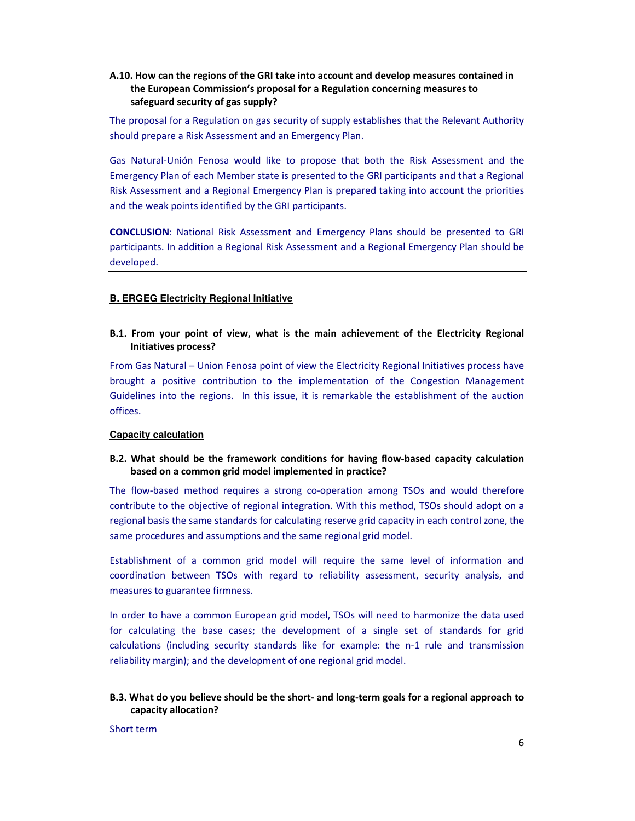# **A.10. How can the regions of the GRI take into account and develop measures contained in the European Commission's proposal for a Regulation concerning measures to safeguard security of gas supply?**

The proposal for a Regulation on gas security of supply establishes that the Relevant Authority should prepare a Risk Assessment and an Emergency Plan.

Gas Natural-Unión Fenosa would like to propose that both the Risk Assessment and the Emergency Plan of each Member state is presented to the GRI participants and that a Regional Risk Assessment and a Regional Emergency Plan is prepared taking into account the priorities and the weak points identified by the GRI participants.

**CONCLUSION**: National Risk Assessment and Emergency Plans should be presented to GRI participants. In addition a Regional Risk Assessment and a Regional Emergency Plan should be developed.

## **B. ERGEG Electricity Regional Initiative**

# **B.1. From your point of view, what is the main achievement of the Electricity Regional Initiatives process?**

From Gas Natural – Union Fenosa point of view the Electricity Regional Initiatives process have brought a positive contribution to the implementation of the Congestion Management Guidelines into the regions. In this issue, it is remarkable the establishment of the auction offices.

## **Capacity calculation**

# **B.2. What should be the framework conditions for having flow-based capacity calculation based on a common grid model implemented in practice?**

The flow-based method requires a strong co-operation among TSOs and would therefore contribute to the objective of regional integration. With this method, TSOs should adopt on a regional basis the same standards for calculating reserve grid capacity in each control zone, the same procedures and assumptions and the same regional grid model.

Establishment of a common grid model will require the same level of information and coordination between TSOs with regard to reliability assessment, security analysis, and measures to guarantee firmness.

In order to have a common European grid model, TSOs will need to harmonize the data used for calculating the base cases; the development of a single set of standards for grid calculations (including security standards like for example: the n-1 rule and transmission reliability margin); and the development of one regional grid model.

# **B.3. What do you believe should be the short- and long-term goals for a regional approach to capacity allocation?**

Short term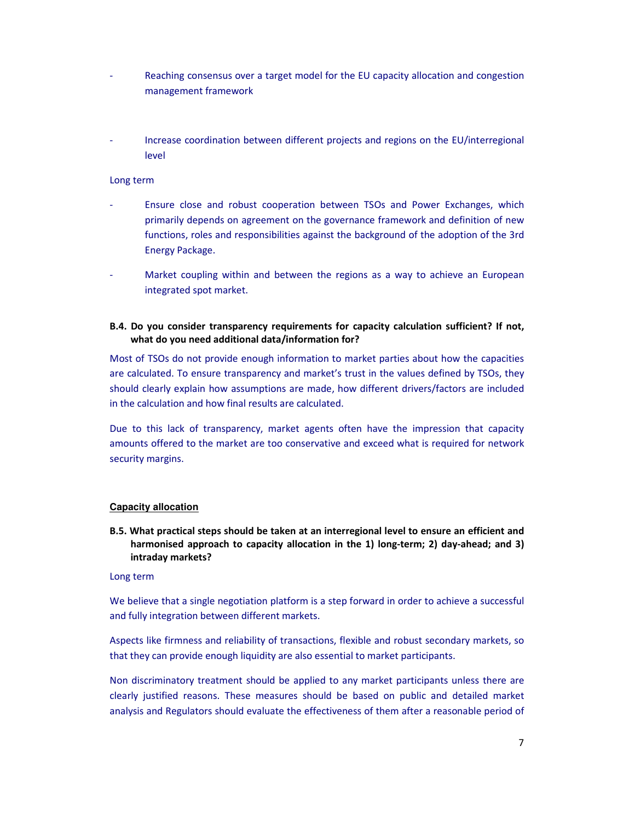- Reaching consensus over a target model for the EU capacity allocation and congestion management framework
- Increase coordination between different projects and regions on the EU/interregional level

#### Long term

- Ensure close and robust cooperation between TSOs and Power Exchanges, which primarily depends on agreement on the governance framework and definition of new functions, roles and responsibilities against the background of the adoption of the 3rd Energy Package.
- Market coupling within and between the regions as a way to achieve an European integrated spot market.

## **B.4. Do you consider transparency requirements for capacity calculation sufficient? If not, what do you need additional data/information for?**

Most of TSOs do not provide enough information to market parties about how the capacities are calculated. To ensure transparency and market's trust in the values defined by TSOs, they should clearly explain how assumptions are made, how different drivers/factors are included in the calculation and how final results are calculated.

Due to this lack of transparency, market agents often have the impression that capacity amounts offered to the market are too conservative and exceed what is required for network security margins.

#### **Capacity allocation**

**B.5. What practical steps should be taken at an interregional level to ensure an efficient and harmonised approach to capacity allocation in the 1) long-term; 2) day-ahead; and 3) intraday markets?** 

#### Long term

We believe that a single negotiation platform is a step forward in order to achieve a successful and fully integration between different markets.

Aspects like firmness and reliability of transactions, flexible and robust secondary markets, so that they can provide enough liquidity are also essential to market participants.

Non discriminatory treatment should be applied to any market participants unless there are clearly justified reasons. These measures should be based on public and detailed market analysis and Regulators should evaluate the effectiveness of them after a reasonable period of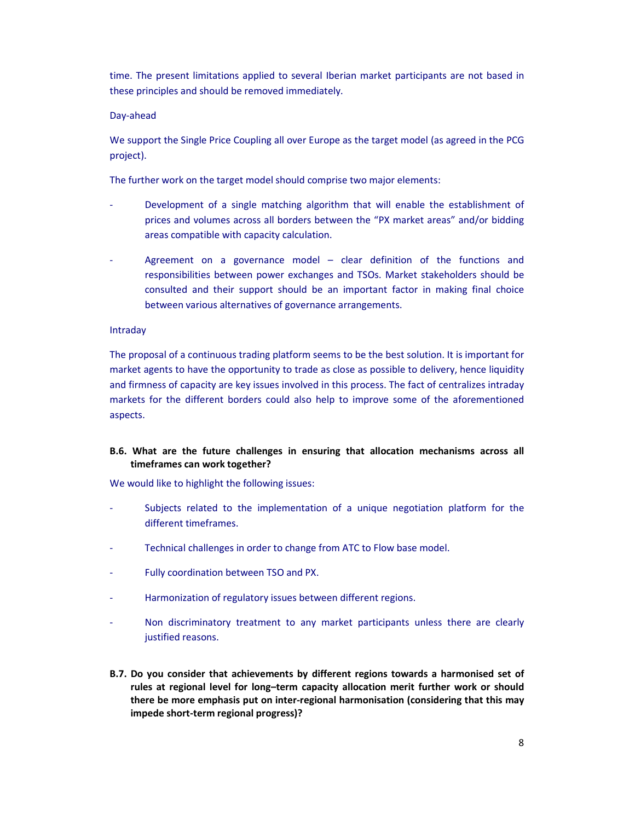time. The present limitations applied to several Iberian market participants are not based in these principles and should be removed immediately.

### Day-ahead

We support the Single Price Coupling all over Europe as the target model (as agreed in the PCG project).

The further work on the target model should comprise two major elements:

- Development of a single matching algorithm that will enable the establishment of prices and volumes across all borders between the "PX market areas" and/or bidding areas compatible with capacity calculation.
- Agreement on a governance model  $-$  clear definition of the functions and responsibilities between power exchanges and TSOs. Market stakeholders should be consulted and their support should be an important factor in making final choice between various alternatives of governance arrangements.

## Intraday

The proposal of a continuous trading platform seems to be the best solution. It is important for market agents to have the opportunity to trade as close as possible to delivery, hence liquidity and firmness of capacity are key issues involved in this process. The fact of centralizes intraday markets for the different borders could also help to improve some of the aforementioned aspects.

# **B.6. What are the future challenges in ensuring that allocation mechanisms across all timeframes can work together?**

We would like to highlight the following issues:

- Subjects related to the implementation of a unique negotiation platform for the different timeframes.
- Technical challenges in order to change from ATC to Flow base model.
- Fully coordination between TSO and PX.
- Harmonization of regulatory issues between different regions.
- Non discriminatory treatment to any market participants unless there are clearly justified reasons.
- **B.7. Do you consider that achievements by different regions towards a harmonised set of rules at regional level for long–term capacity allocation merit further work or should there be more emphasis put on inter-regional harmonisation (considering that this may impede short-term regional progress)?**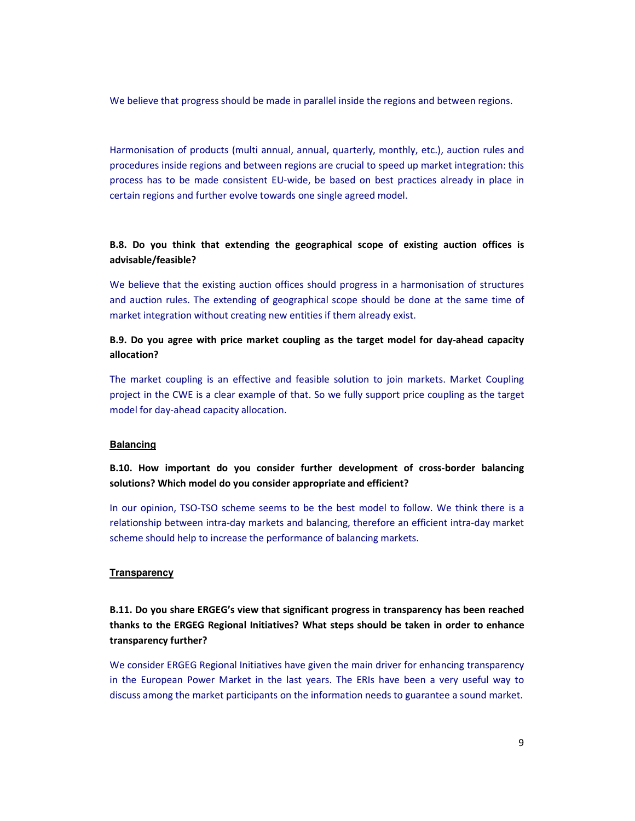We believe that progress should be made in parallel inside the regions and between regions.

Harmonisation of products (multi annual, annual, quarterly, monthly, etc.), auction rules and procedures inside regions and between regions are crucial to speed up market integration: this process has to be made consistent EU-wide, be based on best practices already in place in certain regions and further evolve towards one single agreed model.

# **B.8. Do you think that extending the geographical scope of existing auction offices is advisable/feasible?**

We believe that the existing auction offices should progress in a harmonisation of structures and auction rules. The extending of geographical scope should be done at the same time of market integration without creating new entities if them already exist.

# **B.9. Do you agree with price market coupling as the target model for day-ahead capacity allocation?**

The market coupling is an effective and feasible solution to join markets. Market Coupling project in the CWE is a clear example of that. So we fully support price coupling as the target model for day-ahead capacity allocation.

### **Balancing**

**B.10. How important do you consider further development of cross-border balancing solutions? Which model do you consider appropriate and efficient?** 

In our opinion, TSO-TSO scheme seems to be the best model to follow. We think there is a relationship between intra-day markets and balancing, therefore an efficient intra-day market scheme should help to increase the performance of balancing markets.

### **Transparency**

**B.11. Do you share ERGEG's view that significant progress in transparency has been reached thanks to the ERGEG Regional Initiatives? What steps should be taken in order to enhance transparency further?** 

We consider ERGEG Regional Initiatives have given the main driver for enhancing transparency in the European Power Market in the last years. The ERIs have been a very useful way to discuss among the market participants on the information needs to guarantee a sound market.